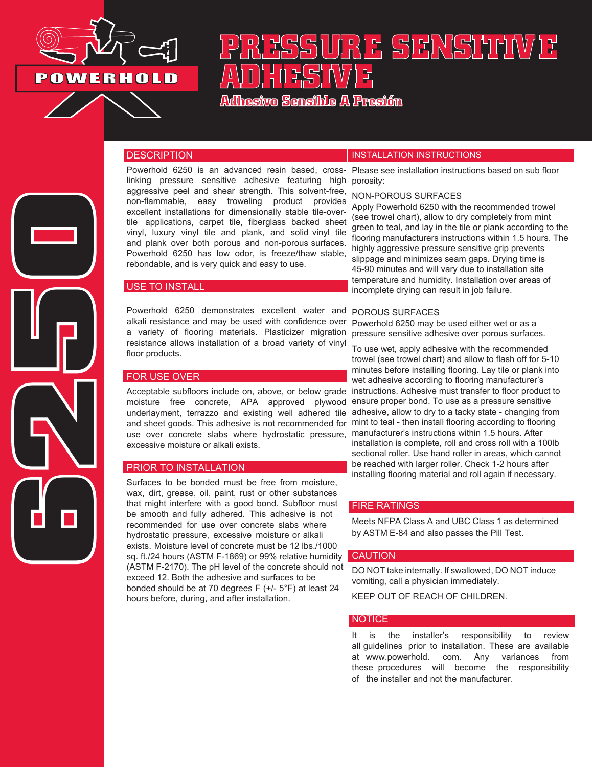

# **PRESSURE SENSITIVE ADHESIVE**

**Adhesivo Sensible A Presión**

# **DESCRIPTION**

Powerhold 6250 is an advanced resin based, crosslinking pressure sensitive adhesive featuring high aggressive peel and shear strength. This solvent-free, non-flammable, easy troweling product provides excellent installations for dimensionally stable tile-overtile applications, carpet tile, fiberglass backed sheet vinyl, luxury vinyl tile and plank, and solid vinyl tile and plank over both porous and non-porous surfaces. Powerhold 6250 has low odor, is freeze/thaw stable, rebondable, and is very quick and easy to use.

## USE TO INSTALL

Powerhold 6250 demonstrates excellent water and alkali resistance and may be used with confidence over a variety of flooring materials. Plasticizer migration resistance allows installation of a broad variety of vinyl floor products.

## FOR USE OVER

Acceptable subfloors include on, above, or below grade moisture free concrete, APA approved plywood underlayment, terrazzo and existing well adhered tile and sheet goods. This adhesive is not recommended for use over concrete slabs where hydrostatic pressure, excessive moisture or alkali exists.

## PRIOR TO INSTALLATION

For U<br>
Mon-flan<br>
exceller<br>
tile app<br>
vinyl, lt<br>
and pla<br>
Powerh rebonda<br>
USE TO<br>
Powerh rebonda<br>
USE TO<br>
Powerh rebonda<br>
USE TO<br>
Powerh rebonda<br>
USE TO<br>
Powerh rebonda<br>
Explore produce the average and she<br>
during and she<br> Surfaces to be bonded must be free from moisture, wax, dirt, grease, oil, paint, rust or other substances that might interfere with a good bond. Subfloor must be smooth and fully adhered. This adhesive is not recommended for use over concrete slabs where hydrostatic pressure, excessive moisture or alkali exists. Moisture level of concrete must be 12 lbs./1000 sq. ft./24 hours (ASTM F-1869) or 99% relative humidity (ASTM F-2170). The pH level of the concrete should not exceed 12. Both the adhesive and surfaces to be bonded should be at 70 degrees F (+/- 5°F) at least 24 hours before, during, and after installation.

## INSTALLATION INSTRUCTIONS

Please see installation instructions based on sub floor porosity:

## NON-POROUS SURFACES

Apply Powerhold 6250 with the recommended trowel (see trowel chart), allow to dry completely from mint green to teal, and lay in the tile or plank according to the flooring manufacturers instructions within 1.5 hours. The highly aggressive pressure sensitive grip prevents slippage and minimizes seam gaps. Drying time is 45-90 minutes and will vary due to installation site temperature and humidity. Installation over areas of incomplete drying can result in job failure.

#### POROUS SURFACES

Powerhold 6250 may be used either wet or as a pressure sensitive adhesive over porous surfaces.

To use wet, apply adhesive with the recommended trowel (see trowel chart) and allow to flash off for 5-10 minutes before installing flooring. Lay tile or plank into wet adhesive according to flooring manufacturer's instructions. Adhesive must transfer to floor product to ensure proper bond. To use as a pressure sensitive adhesive, allow to dry to a tacky state - changing from mint to teal - then install flooring according to flooring manufacturer's instructions within 1.5 hours. After installation is complete, roll and cross roll with a 100lb sectional roller. Use hand roller in areas, which cannot be reached with larger roller. Check 1-2 hours after installing flooring material and roll again if necessary.

### FIRE RATINGS

Meets NFPA Class A and UBC Class 1 as determined by ASTM E-84 and also passes the Pill Test.

## CAUTION

DO NOT take internally. If swallowed, DO NOT induce vomiting, call a physician immediately.

KEEP OUT OF REACH OF CHILDREN.

## **NOTICE**

It is the installer's responsibility to review all guidelines prior to installation. These are available at www.powerhold. com. Any variances from these procedures will become the responsibility of the installer and not the manufacturer.